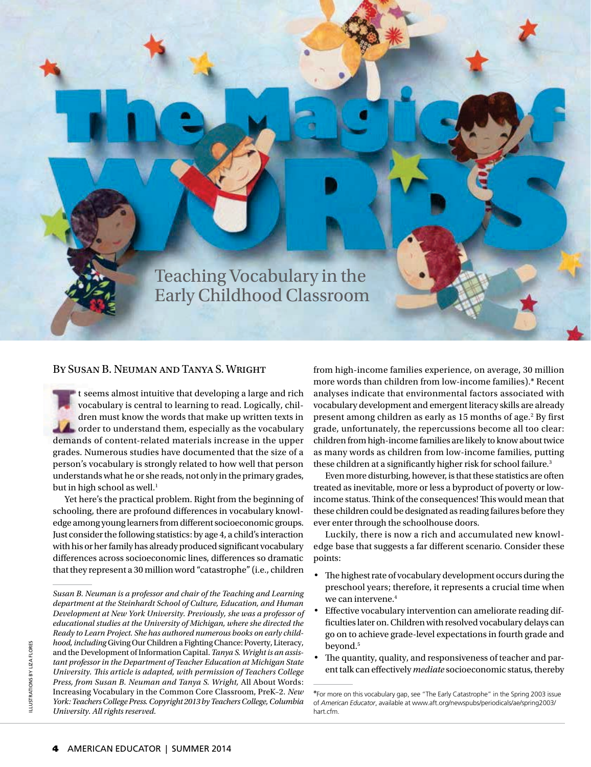

# By Susan B. Neuman and Tanya S. Wright

I seems almost intuitive that developing a large and rich vocabulary is central to learning to read. Logically, children must know the words that make up written texts in order to understand them, especially as the vocabul t seems almost intuitive that developing a large and rich vocabulary is central to learning to read. Logically, children must know the words that make up written texts in order to understand them, especially as the vocabulary grades. Numerous studies have documented that the size of a person's vocabulary is strongly related to how well that person understands what he or she reads, not only in the primary grades, but in high school as well. $<sup>1</sup>$ </sup>

Yet here's the practical problem. Right from the beginning of schooling, there are profound differences in vocabulary knowledge among young learners from different socioeconomic groups. Just consider the following statistics: by age 4, a child's interaction with his or her family has already produced significant vocabulary differences across socioeconomic lines, differences so dramatic that they represent a 30 million word "catastrophe" (i.e., children

from high-income families experience, on average, 30 million more words than children from low-income families).\* Recent analyses indicate that environmental factors associated with vocabulary development and emergent literacy skills are already present among children as early as 15 months of age.<sup>2</sup> By first grade, unfortunately, the repercussions become all too clear: children from high-income families are likely to know about twice as many words as children from low-income families, putting these children at a significantly higher risk for school failure.<sup>3</sup>

Even more disturbing, however, is that these statistics are often treated as inevitable, more or less a byproduct of poverty or lowincome status. Think of the consequences! This would mean that these children could be designated as reading failures before they ever enter through the schoolhouse doors.

Luckily, there is now a rich and accumulated new knowledge base that suggests a far different scenario. Consider these points:

- The highest rate of vocabulary development occurs during the preschool years; therefore, it represents a crucial time when we can intervene.<sup>4</sup>
- Effective vocabulary intervention can ameliorate reading difficulties later on. Children with resolved vocabulary delays can go on to achieve grade-level expectations in fourth grade and beyond.<sup>5</sup>
- The quantity, quality, and responsiveness of teacher and parent talk can effectively *mediate* socioeconomic status, thereby

*Susan B. Neuman is a professor and chair of the Teaching and Learning department at the Steinhardt School of Culture, Education, and Human Development at New York University. Previously, she was a professor of educational studies at the University of Michigan, where she directed the Ready to Learn Project. She has authored numerous books on early childhood, including* Giving Our Children a Fighting Chance: Poverty, Literacy, and the Development of Information Capital. *Tanya S. Wright is an assistant professor in the Department of Teacher Education at Michigan State University. This article is adapted, with permission of Teachers College Press, from Susan B. Neuman and Tanya S. Wright,* All About Words: Increasing Vocabulary in the Common Core Classroom, PreK–2. *New York: Teachers College Press. Copyright 2013 by Teachers College, Columbia University. All rights reserved.*

<sup>\*</sup>For more on this vocabulary gap, see "The Early Catastrophe" in the Spring 2003 issue of *American Educator*[, available at www.aft.org/newspubs/periodicals/ae/spring2003/](www.aft.org/newspubs/periodicals/ae/spring2003/hart.cfm) hart.cfm.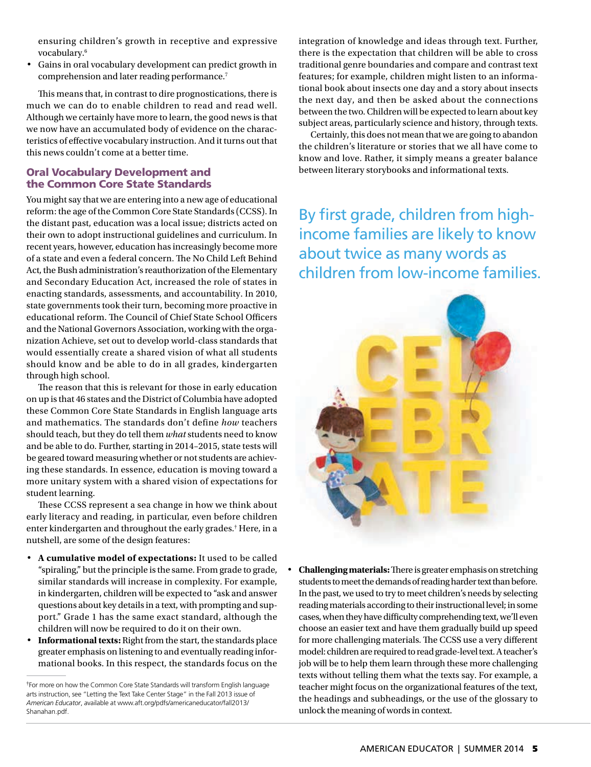ensuring children's growth in receptive and expressive vocabulary.6

• Gains in oral vocabulary development can predict growth in comprehension and later reading performance.7

This means that, in contrast to dire prognostications, there is much we can do to enable children to read and read well. Although we certainly have more to learn, the good news is that we now have an accumulated body of evidence on the characteristics of effective vocabulary instruction. And it turns out that this news couldn't come at a better time.

# Oral Vocabulary Development and the Common Core State Standards

You might say that we are entering into a new age of educational reform: the age of the Common Core State Standards (CCSS). In the distant past, education was a local issue; districts acted on their own to adopt instructional guidelines and curriculum. In recent years, however, education has increasingly become more of a state and even a federal concern. The No Child Left Behind Act, the Bush administration's reauthorization of the Elementary and Secondary Education Act, increased the role of states in enacting standards, assessments, and accountability. In 2010, state governments took their turn, becoming more proactive in educational reform. The Council of Chief State School Officers and the National Governors Association, working with the organization Achieve, set out to develop world-class standards that would essentially create a shared vision of what all students should know and be able to do in all grades, kindergarten through high school.

The reason that this is relevant for those in early education on up is that 46 states and the District of Columbia have adopted these Common Core State Standards in English language arts and mathematics. The standards don't define *how* teachers should teach, but they do tell them *what* students need to know and be able to do. Further, starting in 2014–2015, state tests will be geared toward measuring whether or not students are achieving these standards. In essence, education is moving toward a more unitary system with a shared vision of expectations for student learning.

These CCSS represent a sea change in how we think about early literacy and reading, in particular, even before children enter kindergarten and throughout the early grades.† Here, in a nutshell, are some of the design features:

- **A cumulative model of expectations:** It used to be called "spiraling," but the principle is the same. From grade to grade, similar standards will increase in complexity. For example, in kindergarten, children will be expected to "ask and answer questions about key details in a text, with prompting and support." Grade 1 has the same exact standard, although the children will now be required to do it on their own.
- **Informational texts:** Right from the start, the standards place greater emphasis on listening to and eventually reading informational books. In this respect, the standards focus on the

integration of knowledge and ideas through text. Further, there is the expectation that children will be able to cross traditional genre boundaries and compare and contrast text features; for example, children might listen to an informational book about insects one day and a story about insects the next day, and then be asked about the connections between the two. Children will be expected to learn about key subject areas, particularly science and history, through texts.

Certainly, this does not mean that we are going to abandon the children's literature or stories that we all have come to know and love. Rather, it simply means a greater balance between literary storybooks and informational texts.

By first grade, children from highincome families are likely to know about twice as many words as children from low-income families.



**Challenging materials:** There is greater emphasis on stretching students to meet the demands of reading harder text than before. In the past, we used to try to meet children's needs by selecting reading materials according to their instructional level; in some cases, when they have difficulty comprehending text, we'll even choose an easier text and have them gradually build up speed for more challenging materials. The CCSS use a very different model: children are required to read grade-level text. A teacher's job will be to help them learn through these more challenging texts without telling them what the texts say. For example, a teacher might focus on the organizational features of the text, the headings and subheadings, or the use of the glossary to unlock the meaning of words in context.

<sup>†</sup> For more on how the Common Core State Standards will transform English language arts instruction, see "Letting the Text Take Center Stage" in the Fall 2013 issue of *American Educator*[, available at www.aft.org/pdfs/americaneducator/fall2013/](http://www.aft.org/pdfs/americaneducator/fall2013/Shanahan.pdf) Shanahan.pdf.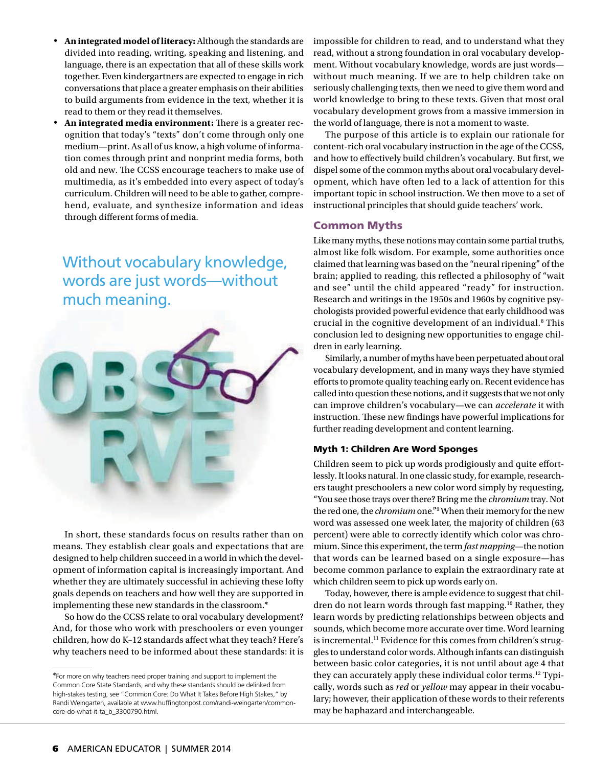- **An integrated model of literacy:** Although the standards are divided into reading, writing, speaking and listening, and language, there is an expectation that all of these skills work together. Even kindergartners are expected to engage in rich conversations that place a greater emphasis on their abilities to build arguments from evidence in the text, whether it is read to them or they read it themselves.
- An integrated media environment: There is a greater recognition that today's "texts" don't come through only one medium—print. As all of us know, a high volume of information comes through print and nonprint media forms, both old and new. The CCSS encourage teachers to make use of multimedia, as it's embedded into every aspect of today's curriculum. Children will need to be able to gather, comprehend, evaluate, and synthesize information and ideas through different forms of media.

Without vocabulary knowledge, words are just words—without much meaning.



In short, these standards focus on results rather than on means. They establish clear goals and expectations that are designed to help children succeed in a world in which the development of information capital is increasingly important. And whether they are ultimately successful in achieving these lofty goals depends on teachers and how well they are supported in implementing these new standards in the classroom.\*

So how do the CCSS relate to oral vocabulary development? And, for those who work with preschoolers or even younger children, how do K-12 standards affect what they teach? Here's why teachers need to be informed about these standards: it is impossible for children to read, and to understand what they read, without a strong foundation in oral vocabulary development. Without vocabulary knowledge, words are just words without much meaning. If we are to help children take on seriously challenging texts, then we need to give them word and world knowledge to bring to these texts. Given that most oral vocabulary development grows from a massive immersion in the world of language, there is not a moment to waste.

The purpose of this article is to explain our rationale for content-rich oral vocabulary instruction in the age of the CCSS, and how to effectively build children's vocabulary. But first, we dispel some of the common myths about oral vocabulary development, which have often led to a lack of attention for this important topic in school instruction. We then move to a set of instructional principles that should guide teachers' work.

# Common Myths

Like many myths, these notions may contain some partial truths, almost like folk wisdom. For example, some authorities once claimed that learning was based on the "neural ripening" of the brain; applied to reading, this reflected a philosophy of "wait and see" until the child appeared "ready" for instruction. Research and writings in the 1950s and 1960s by cognitive psychologists provided powerful evidence that early childhood was crucial in the cognitive development of an individual.<sup>8</sup> This conclusion led to designing new opportunities to engage children in early learning.

Similarly, a number of myths have been perpetuated about oral vocabulary development, and in many ways they have stymied efforts to promote quality teaching early on. Recent evidence has called into question these notions, and it suggests that we not only can improve children's vocabulary—we can *accelerate* it with instruction. These new findings have powerful implications for further reading development and content learning.

#### Myth 1: Children Are Word Sponges

Children seem to pick up words prodigiously and quite effortlessly. It looks natural. In one classic study, for example, researchers taught preschoolers a new color word simply by requesting, "You see those trays over there? Bring me the *chromium* tray. Not the red one, the *chromium* one."9 When their memory for the new word was assessed one week later, the majority of children (63 percent) were able to correctly identify which color was chromium. Since this experiment, the term *fast mapping*—the notion that words can be learned based on a single exposure—has become common parlance to explain the extraordinary rate at which children seem to pick up words early on.

Today, however, there is ample evidence to suggest that children do not learn words through fast mapping.10 Rather, they learn words by predicting relationships between objects and sounds, which become more accurate over time. Word learning is incremental.<sup>11</sup> Evidence for this comes from children's struggles to understand color words. Although infants can distinguish between basic color categories, it is not until about age 4 that they can accurately apply these individual color terms.<sup>12</sup> Typically, words such as *red* or *yellow* may appear in their vocabulary; however, their application of these words to their referents may be haphazard and interchangeable.

<sup>\*</sup>For more on why teachers need proper training and support to implement the Common Core State Standards, and why these standards should be delinked from high-stakes testing, see "Common Core: Do What It Takes Before High Stakes," by Randi Weingarten, available at www.huffingtonpost.com/randi-weingarten/commoncore-do-what-it-ta\_b\_3300790.html.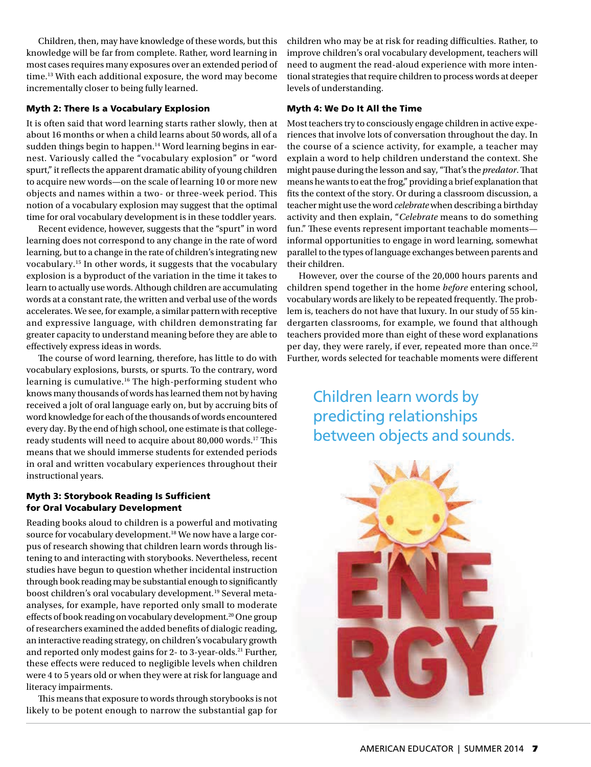Children, then, may have knowledge of these words, but this knowledge will be far from complete. Rather, word learning in most cases requires many exposures over an extended period of time.13 With each additional exposure, the word may become incrementally closer to being fully learned.

### Myth 2: There Is a Vocabulary Explosion

It is often said that word learning starts rather slowly, then at about 16 months or when a child learns about 50 words, all of a sudden things begin to happen.<sup>14</sup> Word learning begins in earnest. Variously called the "vocabulary explosion" or "word spurt," it reflects the apparent dramatic ability of young children to acquire new words—on the scale of learning 10 or more new objects and names within a two- or three-week period. This notion of a vocabulary explosion may suggest that the optimal time for oral vocabulary development is in these toddler years.

Recent evidence, however, suggests that the "spurt" in word learning does not correspond to any change in the rate of word learning, but to a change in the rate of children's integrating new vocabulary.15 In other words, it suggests that the vocabulary explosion is a byproduct of the variation in the time it takes to learn to actually use words. Although children are accumulating words at a constant rate, the written and verbal use of the words accelerates. We see, for example, a similar pattern with receptive and expressive language, with children demonstrating far greater capacity to understand meaning before they are able to effectively express ideas in words.

The course of word learning, therefore, has little to do with vocabulary explosions, bursts, or spurts. To the contrary, word learning is cumulative.16 The high-performing student who knows many thousands of words has learned them not by having received a jolt of oral language early on, but by accruing bits of word knowledge for each of the thousands of words encountered every day. By the end of high school, one estimate is that collegeready students will need to acquire about 80,000 words.<sup>17</sup> This means that we should immerse students for extended periods in oral and written vocabulary experiences throughout their instructional years.

# Myth 3: Storybook Reading Is Sufficient for Oral Vocabulary Development

Reading books aloud to children is a powerful and motivating source for vocabulary development.18 We now have a large corpus of research showing that children learn words through listening to and interacting with storybooks. Nevertheless, recent studies have begun to question whether incidental instruction through book reading may be substantial enough to signicantly boost children's oral vocabulary development.19 Several metaanalyses, for example, have reported only small to moderate effects of book reading on vocabulary development.<sup>20</sup> One group of researchers examined the added benefits of dialogic reading, an interactive reading strategy, on children's vocabulary growth and reported only modest gains for 2- to 3-year-olds.<sup>21</sup> Further, these effects were reduced to negligible levels when children were 4 to 5 years old or when they were at risk for language and literacy impairments.

This means that exposure to words through storybooks is not likely to be potent enough to narrow the substantial gap for children who may be at risk for reading difficulties. Rather, to improve children's oral vocabulary development, teachers will need to augment the read-aloud experience with more intentional strategies that require children to process words at deeper levels of understanding.

#### Myth 4: We Do It All the Time

Most teachers try to consciously engage children in active experiences that involve lots of conversation throughout the day. In the course of a science activity, for example, a teacher may explain a word to help children understand the context. She might pause during the lesson and say, "That's the *predator*. That means he wants to eat the frog," providing a brief explanation that fits the context of the story. Or during a classroom discussion, a teacher might use the word *celebrate* when describing a birthday activity and then explain, "*Celebrate* means to do something fun." These events represent important teachable moments informal opportunities to engage in word learning, somewhat parallel to the types of language exchanges between parents and their children.

However, over the course of the 20,000 hours parents and children spend together in the home *before* entering school, vocabulary words are likely to be repeated frequently. The problem is, teachers do not have that luxury. In our study of 55 kindergarten classrooms, for example, we found that although teachers provided more than eight of these word explanations per day, they were rarely, if ever, repeated more than once.<sup>22</sup> Further, words selected for teachable moments were different

> Children learn words by predicting relationships between objects and sounds.

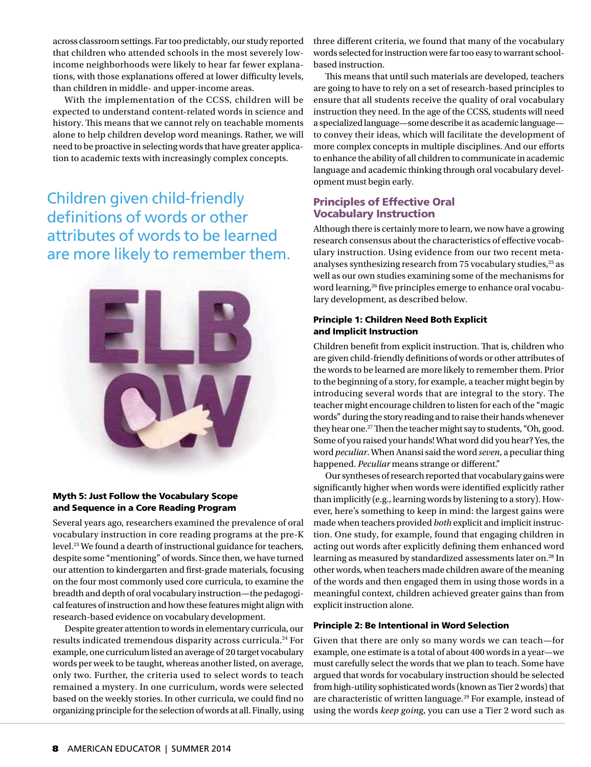across classroom settings. Far too predictably, our study reported that children who attended schools in the most severely lowincome neighborhoods were likely to hear far fewer explanations, with those explanations offered at lower difficulty levels, than children in middle- and upper-income areas.

With the implementation of the CCSS, children will be expected to understand content-related words in science and history. This means that we cannot rely on teachable moments alone to help children develop word meanings. Rather, we will need to be proactive in selecting words that have greater application to academic texts with increasingly complex concepts.

Children given child-friendly definitions of words or other attributes of words to be learned are more likely to remember them.



# Myth 5: Just Follow the Vocabulary Scope and Sequence in a Core Reading Program

Several years ago, researchers examined the prevalence of oral vocabulary instruction in core reading programs at the pre-K level.<sup>23</sup> We found a dearth of instructional guidance for teachers, despite some "mentioning" of words. Since then, we have turned our attention to kindergarten and first-grade materials, focusing on the four most commonly used core curricula, to examine the breadth and depth of oral vocabulary instruction—the pedagogical features of instruction and how these features might align with research-based evidence on vocabulary development.

Despite greater attention to words in elementary curricula, our results indicated tremendous disparity across curricula.<sup>24</sup> For example, one curriculum listed an average of 20 target vocabulary words per week to be taught, whereas another listed, on average, only two. Further, the criteria used to select words to teach remained a mystery. In one curriculum, words were selected based on the weekly stories. In other curricula, we could find no organizing principle for the selection of words at all. Finally, using three different criteria, we found that many of the vocabulary words selected for instruction were far too easy to warrant schoolbased instruction.

This means that until such materials are developed, teachers are going to have to rely on a set of research-based principles to ensure that all students receive the quality of oral vocabulary instruction they need. In the age of the CCSS, students will need a specialized language—some describe it as academic language to convey their ideas, which will facilitate the development of more complex concepts in multiple disciplines. And our efforts to enhance the ability of all children to communicate in academic language and academic thinking through oral vocabulary development must begin early.

# Principles of Effective Oral Vocabulary Instruction

Although there is certainly more to learn, we now have a growing research consensus about the characteristics of effective vocabulary instruction. Using evidence from our two recent metaanalyses synthesizing research from 75 vocabulary studies,<sup>25</sup> as well as our own studies examining some of the mechanisms for word learning,<sup>26</sup> five principles emerge to enhance oral vocabulary development, as described below.

# Principle 1: Children Need Both Explicit and Implicit Instruction

Children benefit from explicit instruction. That is, children who are given child-friendly definitions of words or other attributes of the words to be learned are more likely to remember them. Prior to the beginning of a story, for example, a teacher might begin by introducing several words that are integral to the story. The teacher might encourage children to listen for each of the "magic words" during the story reading and to raise their hands whenever they hear one.<sup>27</sup> Then the teacher might say to students, "Oh, good. Some of you raised your hands! What word did you hear? Yes, the word *peculiar*. When Anansi said the word *seven*, a peculiar thing happened. *Peculiar* means strange or different."

Our syntheses of research reported that vocabulary gains were significantly higher when words were identified explicitly rather than implicitly (e.g., learning words by listening to a story). However, here's something to keep in mind: the largest gains were made when teachers provided *both* explicit and implicit instruction. One study, for example, found that engaging children in acting out words after explicitly defining them enhanced word learning as measured by standardized assessments later on.28 In other words, when teachers made children aware of the meaning of the words and then engaged them in using those words in a meaningful context, children achieved greater gains than from explicit instruction alone.

# Principle 2: Be Intentional in Word Selection

Given that there are only so many words we can teach—for example, one estimate is a total of about 400 words in a year—we must carefully select the words that we plan to teach. Some have argued that words for vocabulary instruction should be selected from high-utility sophisticated words (known as Tier 2 words) that are characteristic of written language.29 For example, instead of using the words *keep going*, you can use a Tier 2 word such as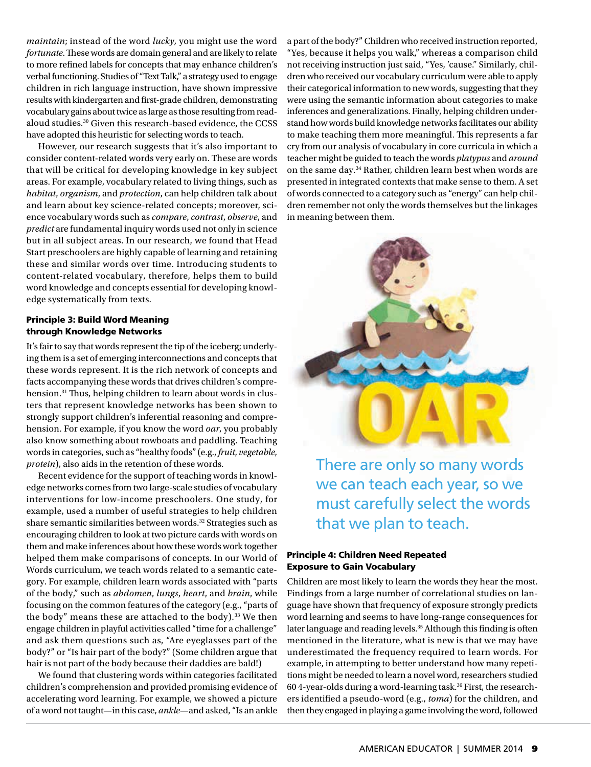*maintain*; instead of the word *lucky,* you might use the word *fortunate*. These words are domain general and are likely to relate to more refined labels for concepts that may enhance children's verbal functioning. Studies of "Text Talk," a strategy used to engage children in rich language instruction, have shown impressive results with kindergarten and first-grade children, demonstrating vocabulary gains about twice as large as those resulting from readaloud studies.30 Given this research-based evidence, the CCSS have adopted this heuristic for selecting words to teach.

However, our research suggests that it's also important to consider content-related words very early on. These are words that will be critical for developing knowledge in key subject areas. For example, vocabulary related to living things, such as *habitat*, *organism*, and *protection*, can help children talk about and learn about key science-related concepts; moreover, science vocabulary words such as *compare*, *contrast*, *observe*, and *predict* are fundamental inquiry words used not only in science but in all subject areas. In our research, we found that Head Start preschoolers are highly capable of learning and retaining these and similar words over time. Introducing students to content-related vocabulary, therefore, helps them to build word knowledge and concepts essential for developing knowledge systematically from texts.

### Principle 3: Build Word Meaning through Knowledge Networks

It's fair to say that words represent the tip of the iceberg; underlying them is a set of emerging interconnections and concepts that these words represent. It is the rich network of concepts and facts accompanying these words that drives children's comprehension.<sup>31</sup> Thus, helping children to learn about words in clusters that represent knowledge networks has been shown to strongly support children's inferential reasoning and comprehension. For example, if you know the word *oar*, you probably also know something about rowboats and paddling. Teaching words in categories, such as "healthy foods" (e.g., *fruit*, *vegetable*, *protein*), also aids in the retention of these words.

Recent evidence for the support of teaching words in knowledge networks comes from two large-scale studies of vocabulary interventions for low-income preschoolers. One study, for example, used a number of useful strategies to help children share semantic similarities between words.32 Strategies such as encouraging children to look at two picture cards with words on them and make inferences about how these words work together helped them make comparisons of concepts. In our World of Words curriculum, we teach words related to a semantic category. For example, children learn words associated with "parts of the body," such as *abdomen*, *lungs*, *heart*, and *brain*, while focusing on the common features of the category (e.g., "parts of the body" means these are attached to the body).<sup>33</sup> We then engage children in playful activities called "time for a challenge" and ask them questions such as, "Are eyeglasses part of the body?" or "Is hair part of the body?" (Some children argue that hair is not part of the body because their daddies are bald!)

We found that clustering words within categories facilitated children's comprehension and provided promising evidence of accelerating word learning. For example, we showed a picture of a word not taught—in this case, *ankle*—and asked, "Is an ankle

a part of the body?" Children who received instruction reported, "Yes, because it helps you walk," whereas a comparison child not receiving instruction just said, "Yes, 'cause." Similarly, children who received our vocabulary curriculum were able to apply their categorical information to new words, suggesting that they were using the semantic information about categories to make inferences and generalizations. Finally, helping children understand how words build knowledge networks facilitates our ability to make teaching them more meaningful. This represents a far cry from our analysis of vocabulary in core curricula in which a teacher might be guided to teach the words *platypus* and *around* on the same day.34 Rather, children learn best when words are presented in integrated contexts that make sense to them. A set of words connected to a category such as "energy" can help children remember not only the words themselves but the linkages in meaning between them.



There are only so many words we can teach each year, so we must carefully select the words that we plan to teach.

### Principle 4: Children Need Repeated Exposure to Gain Vocabulary

Children are most likely to learn the words they hear the most. Findings from a large number of correlational studies on language have shown that frequency of exposure strongly predicts word learning and seems to have long-range consequences for later language and reading levels.<sup>35</sup> Although this finding is often mentioned in the literature, what is new is that we may have underestimated the frequency required to learn words. For example, in attempting to better understand how many repetitions might be needed to learn a novel word, researchers studied 60 4-year-olds during a word-learning task.36 First, the researchers identified a pseudo-word (e.g., *toma*) for the children, and then they engaged in playing a game involving the word, followed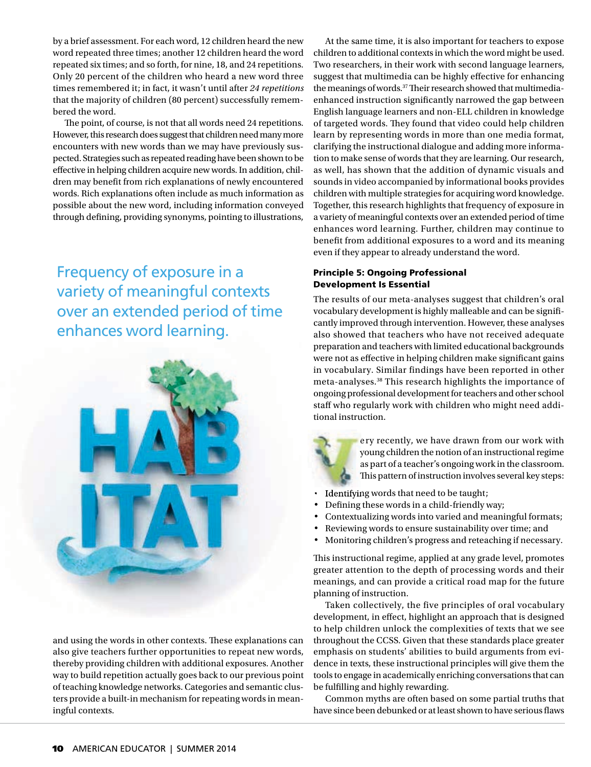by a brief assessment. For each word, 12 children heard the new word repeated three times; another 12 children heard the word repeated six times; and so forth, for nine, 18, and 24 repetitions. Only 20 percent of the children who heard a new word three times remembered it; in fact, it wasn't until after *24 repetitions* that the majority of children (80 percent) successfully remembered the word.

The point, of course, is not that all words need 24 repetitions. However, this research does suggest that children need many more encounters with new words than we may have previously suspected. Strategies such as repeated reading have been shown to be effective in helping children acquire new words. In addition, children may benefit from rich explanations of newly encountered words. Rich explanations often include as much information as possible about the new word, including information conveyed through defining, providing synonyms, pointing to illustrations,

variety of meaningful contexts over an extended period of time enhances word learning.



and using the words in other contexts. These explanations can also give teachers further opportunities to repeat new words, thereby providing children with additional exposures. Another way to build repetition actually goes back to our previous point of teaching knowledge networks. Categories and semantic clusters provide a built-in mechanism for repeating words in meaningful contexts.

At the same time, it is also important for teachers to expose children to additional contexts in which the word might be used. Two researchers, in their work with second language learners, suggest that multimedia can be highly effective for enhancing the meanings of words.<sup>37</sup> Their research showed that multimediaenhanced instruction significantly narrowed the gap between English language learners and non-ELL children in knowledge of targeted words. They found that video could help children learn by representing words in more than one media format, clarifying the instructional dialogue and adding more information to make sense of words that they are learning. Our research, as well, has shown that the addition of dynamic visuals and sounds in video accompanied by informational books provides children with multiple strategies for acquiring word knowledge. Together, this research highlights that frequency of exposure in a variety of meaningful contexts over an extended period of time enhances word learning. Further, children may continue to benefit from additional exposures to a word and its meaning even if they appear to already understand the word.

# Principle 5: Ongoing Professional Development Is Essential

The results of our meta-analyses suggest that children's oral vocabulary development is highly malleable and can be significantly improved through intervention. However, these analyses also showed that teachers who have not received adequate preparation and teachers with limited educational backgrounds were not as effective in helping children make significant gains in vocabulary. Similar findings have been reported in other meta-analyses.38 This research highlights the importance of ongoing professional development for teachers and other school staff who regularly work with children who might need additional instruction.



ery recently, we have drawn from our work with<br>young children the notion of an instructional regime<br>as part of a teacher's ongoing work in the classroom.<br>This pattern of instruction involves several key steps:<br>Admitistrati young children the notion of an instructional regime as part of a teacher's ongoing work in the classroom. This pattern of instruction involves several key steps:

- Identifying words that need to be taught;
- Defining these words in a child-friendly way;
- Contextualizing words into varied and meaningful formats;
- Reviewing words to ensure sustainability over time; and
- Monitoring children's progress and reteaching if necessary.

This instructional regime, applied at any grade level, promotes greater attention to the depth of processing words and their meanings, and can provide a critical road map for the future planning of instruction.

Taken collectively, the five principles of oral vocabulary development, in effect, highlight an approach that is designed to help children unlock the complexities of texts that we see throughout the CCSS. Given that these standards place greater emphasis on students' abilities to build arguments from evidence in texts, these instructional principles will give them the tools to engage in academically enriching conversations that can be fulfilling and highly rewarding.

Common myths are often based on some partial truths that have since been debunked or at least shown to have serious flaws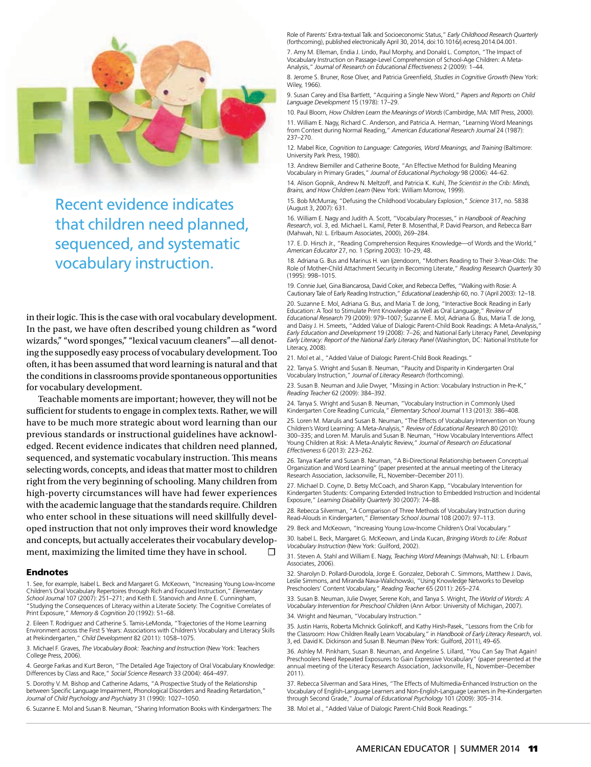

# Recent evidence indicates that children need planned, sequenced, and systematic vocabulary instruction.

in their logic. This is the case with oral vocabulary development. In the past, we have often described young children as "word wizards," "word sponges," "lexical vacuum cleaners"—all denoting the supposedly easy process of vocabulary development. Too often, it has been assumed that word learning is natural and that the conditions in classrooms provide spontaneous opportunities for vocabulary development.

Teachable moments are important; however, they will not be sufficient for students to engage in complex texts. Rather, we will have to be much more strategic about word learning than our previous standards or instructional guidelines have acknowledged. Recent evidence indicates that children need planned, sequenced, and systematic vocabulary instruction. This means selecting words, concepts, and ideas that matter most to children right from the very beginning of schooling. Many children from high-poverty circumstances will have had fewer experiences with the academic language that the standards require. Children who enter school in these situations will need skillfully developed instruction that not only improves their word knowledge and concepts, but actually accelerates their vocabulary development, maximizing the limited time they have in school.

#### Endnotes

1. See, for example, Isabel L. Beck and Margaret G. McKeown, "Increasing Young Low-Income Children's Oral Vocabulary Repertoires through Rich and Focused Instruction," *Elementary School Journal* 107 (2007): 251–271; and Keith E. Stanovich and Anne E. Cunningham, "Studying the Consequences of Literacy within a Literate Society: The Cognitive Correlates of Print Exposure," *Memory & Cognition* 20 (1992): 51–68.

2. Eileen T. Rodriguez and Catherine S. Tamis-LeMonda, "Trajectories of the Home Learning Environment across the First 5 Years: Associations with Children's Vocabulary and Literacy Skills at Prekindergarten," *Child Development* 82 (2011): 1058–1075.

3. Michael F. Graves, *The Vocabulary Book: Teaching and Instruction* (New York: Teachers College Press, 2006).

4. George Farkas and Kurt Beron, "The Detailed Age Trajectory of Oral Vocabulary Knowledge: Differences by Class and Race," *Social Science Research* 33 (2004): 464–497.

5. Dorothy V. M. Bishop and Catherine Adams, "A Prospective Study of the Relationship between Specific Language Impairment, Phonological Disorders and Reading Retardation,' *Journal of Child Psychology and Psychiatry* 31 (1990): 1027–1050.

6. Suzanne E. Mol and Susan B. Neuman, "Sharing Information Books with Kindergartners: The

Role of Parents' Extra-textual Talk and Socioeconomic Status," *Early Childhood Research Quarterly* (forthcoming), published electronically April 30, 2014, doi:10.1016/j.ecresq.2014.04.001.

7. Amy M. Elleman, Endia J. Lindo, Paul Morphy, and Donald L. Compton, "The Impact of Vocabulary Instruction on Passage-Level Comprehension of School-Age Children: A Meta-Analysis," *Journal of Research on Educational Effectiveness* 2 (2009): 1–44.

8. Jerome S. Bruner, Rose Olver, and Patricia Greenfield, *Studies in Cognitive Growth* (New York: Wiley, 1966).

9. Susan Carey and Elsa Bartlett, "Acquiring a Single New Word," *Papers and Reports on Child Language Development* 15 (1978): 17–29.

10. Paul Bloom, *How Children Learn the Meanings of Words* (Cambirdge, MA: MIT Press, 2000).

11. William E. Nagy, Richard C. Anderson, and Patricia A. Herman, "Learning Word Meanings from Context during Normal Reading," *American Educational Research Journal* 24 (1987): 237–270.

12. Mabel Rice, *Cognition to Language: Categories, Word Meanings, and Training* (Baltimore: University Park Press, 1980).

13. Andrew Biemiller and Catherine Boote, "An Effective Method for Building Meaning Vocabulary in Primary Grades," *Journal of Educational Psychology* 98 (2006): 44–62.

14. Alison Gopnik, Andrew N. Meltzoff, and Patricia K. Kuhl, *The Scientist in the Crib: Minds, Brains, and How Children Learn* (New York: William Morrow, 1999).

15. Bob McMurray, "Defusing the Childhood Vocabulary Explosion," *Science* 317, no. 5838 (August 3, 2007): 631.

16. William E. Nagy and Judith A. Scott, "Vocabulary Processes," in *Handbook of Reaching Research*, vol. 3, ed. Michael L. Kamil, Peter B. Mosenthal, P. David Pearson, and Rebecca Barr (Mahwah, NJ: L. Erlbaum Associates, 2000), 269–284.

17. E. D. Hirsch Jr., "Reading Comprehension Requires Knowledge—of Words and the World," *American Educator* 27, no. 1 (Spring 2003): 10–29, 48.

18. Adriana G. Bus and Marinus H. van Ijzendoorn, "Mothers Reading to Their 3-Year-Olds: The Role of Mother-Child Attachment Security in Becoming Literate," *Reading Research Quarterly* 30 (1995): 998–1015.

19. Connie Juel, Gina Biancarosa, David Coker, and Rebecca Deffes, "Walking with Rosie: A Cautionary Tale of Early Reading Instruction," *Educational Leadership* 60, no. 7 (April 2003): 12–18.

20. Suzanne E. Mol, Adriana G. Bus, and Maria T. de Jong, "Interactive Book Reading in Early Education: A Tool to Stimulate Print Knowledge as Well as Oral Language," *Review of Educational Research* 79 (2009): 979–1007; Suzanne E. Mol, Adriana G. Bus, Maria T. de Jong, and Daisy J. H. Smeets, "Added Value of Dialogic Parent-Child Book Readings: A Meta-Analysis, *Early Education and Development* 19 (2008): 7–26; and National Early Literacy Panel, *Developing Early Literacy: Report of the National Early Literacy Panel* (Washington, DC: National Institute for Literacy, 2008).

21. Mol et al., "Added Value of Dialogic Parent-Child Book Readings."

22. Tanya S. Wright and Susan B. Neuman, "Paucity and Disparity in Kindergarten Oral Vocabulary Instruction," *Journal of Literacy Research* (forthcoming).

23. Susan B. Neuman and Julie Dwyer, "Missing in Action: Vocabulary Instruction in Pre-K," *Reading Teacher* 62 (2009): 384–392.

24. Tanya S. Wright and Susan B. Neuman, "Vocabulary Instruction in Commonly Used Kindergarten Core Reading Curricula," *Elementary School Journal* 113 (2013): 386–408.

25. Loren M. Marulis and Susan B. Neuman, "The Effects of Vocabulary Intervention on Young Children's Word Learning: A Meta-Analysis," *Review of Educational Research* 80 (2010): 300–335; and Loren M. Marulis and Susan B. Neuman, "How Vocabulary Interventions Affect Young Children at Risk: A Meta-Analytic Review," *Journal of Research on Educational Effectiveness* 6 (2013): 223–262.

26. Tanya Kaefer and Susan B. Neuman, "A Bi-Directional Relationship between Conceptual Organization and Word Learning" (paper presented at the annual meeting of the Literacy Research Association, Jacksonville, FL, November–December 2011).

27. Michael D. Coyne, D. Betsy McCoach, and Sharon Kapp, "Vocabulary Intervention for Kindergarten Students: Comparing Extended Instruction to Embedded Instruction and Incidental Exposure," *Learning Disability Quarterly* 30 (2007): 74–88.

28. Rebecca Silverman, "A Comparison of Three Methods of Vocabulary Instruction during Read-Alouds in Kindergarten," *Elementary School Journal* 108 (2007): 97–113.

29. Beck and McKeown, "Increasing Young Low-Income Children's Oral Vocabulary."

30. Isabel L. Beck, Margaret G. McKeown, and Linda Kucan, *Bringing Words to Life: Robust Vocabulary Instruction* (New York: Guilford, 2002).

31. Steven A. Stahl and William E. Nagy, *Teaching Word Meanings* (Mahwah, NJ: L. Erlbaum Associates, 2006).

32. Sharolyn D. Pollard-Durodola, Jorge E. Gonzalez, Deborah C. Simmons, Matthew J. Davis, Leslie Simmons, and Miranda Nava-Walichowski, "Using Knowledge Networks to Develop Preschoolers' Content Vocabulary," *Reading Teacher* 65 (2011): 265–274.

33. Susan B. Neuman, Julie Dwyer, Serene Koh, and Tanya S. Wright, *The World of Words: A Vocabulary Intervention for Preschool Children* (Ann Arbor: University of Michigan, 2007).

34. Wright and Neuman, "Vocabulary Instruction."

35. Justin Harris, Roberta Michnick Golinkoff, and Kathy Hirsh-Pasek, "Lessons from the Crib for the Classroom: How Children Really Learn Vocabulary," in *Handbook of Early Literacy Research*, vol. 3, ed. David K. Dickinson and Susan B. Neuman (New York: Guilford, 2011), 49–65.

36. Ashley M. Pinkham, Susan B. Neuman, and Angeline S. Lillard, "You Can Say That Again! Preschoolers Need Repeated Exposures to Gain Expressive Vocabulary" (paper presented at the annual meeting of the Literacy Research Association, Jacksonville, FL, November-December 2011).

37. Rebecca Silverman and Sara Hines, "The Effects of Multimedia-Enhanced Instruction on the Vocabulary of English-Language Learners and Non-English-Language Learners in Pre-Kindergarten through Second Grade," *Journal of Educational Psychology* 101 (2009): 305–314.

38. Mol et al., "Added Value of Dialogic Parent-Child Book Readings.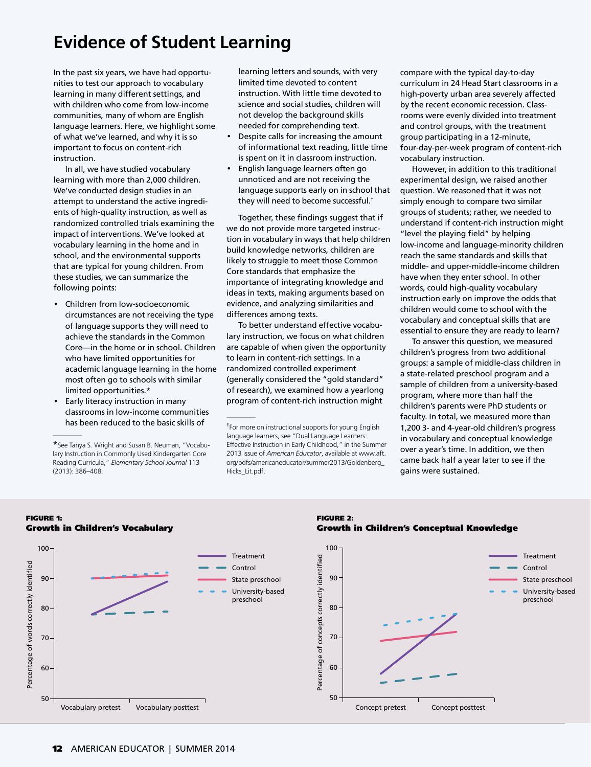# **Evidence of Student Learning**

In the past six years, we have had opportunities to test our approach to vocabulary learning in many different settings, and with children who come from low-income communities, many of whom are English language learners. Here, we highlight some of what we've learned, and why it is so important to focus on content-rich instruction.

In all, we have studied vocabulary learning with more than 2,000 children. We've conducted design studies in an attempt to understand the active ingredients of high-quality instruction, as well as randomized controlled trials examining the impact of interventions. We've looked at vocabulary learning in the home and in school, and the environmental supports that are typical for young children. From these studies, we can summarize the following points:

- Children from low-socioeconomic circumstances are not receiving the type of language supports they will need to achieve the standards in the Common Core—in the home or in school. Children who have limited opportunities for academic language learning in the home most often go to schools with similar limited opportunities.\*
- Early literacy instruction in many classrooms in low-income communities has been reduced to the basic skills of

learning letters and sounds, with very limited time devoted to content instruction. With little time devoted to science and social studies, children will not develop the background skills needed for comprehending text.

- Despite calls for increasing the amount of informational text reading, little time is spent on it in classroom instruction.
- English language learners often go unnoticed and are not receiving the language supports early on in school that they will need to become successful.†

Together, these findings suggest that if we do not provide more targeted instruction in vocabulary in ways that help children build knowledge networks, children are likely to struggle to meet those Common Core standards that emphasize the importance of integrating knowledge and ideas in texts, making arguments based on evidence, and analyzing similarities and differences among texts.

To better understand effective vocabulary instruction, we focus on what children are capable of when given the opportunity to learn in content-rich settings. In a randomized controlled experiment (generally considered the "gold standard" of research), we examined how a yearlong program of content-rich instruction might

compare with the typical day-to-day curriculum in 24 Head Start classrooms in a high-poverty urban area severely affected by the recent economic recession. Classrooms were evenly divided into treatment and control groups, with the treatment group participating in a 12-minute, four-day-per-week program of content-rich vocabulary instruction.

However, in addition to this traditional experimental design, we raised another question. We reasoned that it was not simply enough to compare two similar groups of students; rather, we needed to understand if content-rich instruction might "level the playing field" by helping low-income and language-minority children reach the same standards and skills that middle- and upper-middle-income children have when they enter school. In other words, could high-quality vocabulary instruction early on improve the odds that children would come to school with the vocabulary and conceptual skills that are essential to ensure they are ready to learn?

To answer this question, we measured children's progress from two additional groups: a sample of middle-class children in a state-related preschool program and a sample of children from a university-based program, where more than half the children's parents were PhD students or faculty. In total, we measured more than 1,200 3- and 4-year-old children's progress in vocabulary and conceptual knowledge over a year's time. In addition, we then came back half a year later to see if the gains were sustained.



FIGURE 1: Growth in Children's Vocabulary





<sup>\*</sup>See Tanya S. Wright and Susan B. Neuman, "Vocabulary Instruction in Commonly Used Kindergarten Core Reading Curricula," *Elementary School Journal* 113 (2013): 386–408.

<sup>†</sup> For more on instructional supports for young English language learners, see "Dual Language Learners: Effective Instruction in Early Childhood," in the Summer 2013 issue of *American Educator*, available at [www.aft.](http://www.aft.org/pdfs/americaneducator/summer2013/Goldenberg_Hicks_Lit.pdf) [org/pdfs/americaneducator/summer2013/Goldenberg\\_](http://www.aft.org/pdfs/americaneducator/summer2013/Goldenberg_Hicks_Lit.pdf) [Hicks\\_Lit.pdf](http://www.aft.org/pdfs/americaneducator/summer2013/Goldenberg_Hicks_Lit.pdf).